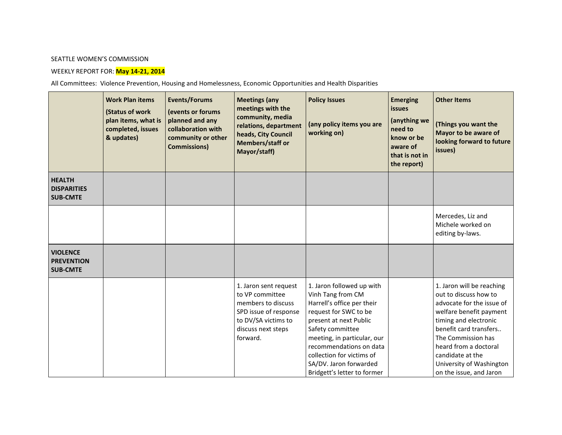## SEATTLE WOMEN'S COMMISSION

## WEEKLY REPORT FOR: **May 14-21, 2014**

All Committees: Violence Prevention, Housing and Homelessness, Economic Opportunities and Health Disparities

|                                                         | <b>Work Plan items</b><br>(Status of work<br>plan items, what is<br>completed, issues<br>& updates) | <b>Events/Forums</b><br>(events or forums<br>planned and any<br>collaboration with<br>community or other<br><b>Commissions)</b> | <b>Meetings (any</b><br>meetings with the<br>community, media<br>relations, department<br>heads, City Council<br>Members/staff or<br>Mayor/staff) | <b>Policy Issues</b><br>(any policy items you are<br>working on)                                                                                                                                                                                                                                    | <b>Emerging</b><br><b>issues</b><br>(anything we<br>need to<br>know or be<br>aware of<br>that is not in<br>the report) | <b>Other Items</b><br>(Things you want the<br>Mayor to be aware of<br>looking forward to future<br>issues)                                                                                                                                                                              |
|---------------------------------------------------------|-----------------------------------------------------------------------------------------------------|---------------------------------------------------------------------------------------------------------------------------------|---------------------------------------------------------------------------------------------------------------------------------------------------|-----------------------------------------------------------------------------------------------------------------------------------------------------------------------------------------------------------------------------------------------------------------------------------------------------|------------------------------------------------------------------------------------------------------------------------|-----------------------------------------------------------------------------------------------------------------------------------------------------------------------------------------------------------------------------------------------------------------------------------------|
| <b>HEALTH</b><br><b>DISPARITIES</b><br><b>SUB-CMTE</b>  |                                                                                                     |                                                                                                                                 |                                                                                                                                                   |                                                                                                                                                                                                                                                                                                     |                                                                                                                        |                                                                                                                                                                                                                                                                                         |
|                                                         |                                                                                                     |                                                                                                                                 |                                                                                                                                                   |                                                                                                                                                                                                                                                                                                     |                                                                                                                        | Mercedes, Liz and<br>Michele worked on<br>editing by-laws.                                                                                                                                                                                                                              |
| <b>VIOLENCE</b><br><b>PREVENTION</b><br><b>SUB-CMTE</b> |                                                                                                     |                                                                                                                                 |                                                                                                                                                   |                                                                                                                                                                                                                                                                                                     |                                                                                                                        |                                                                                                                                                                                                                                                                                         |
|                                                         |                                                                                                     |                                                                                                                                 | 1. Jaron sent request<br>to VP committee<br>members to discuss<br>SPD issue of response<br>to DV/SA victims to<br>discuss next steps<br>forward.  | 1. Jaron followed up with<br>Vinh Tang from CM<br>Harrell's office per their<br>request for SWC to be<br>present at next Public<br>Safety committee<br>meeting, in particular, our<br>recommendations on data<br>collection for victims of<br>SA/DV. Jaron forwarded<br>Bridgett's letter to former |                                                                                                                        | 1. Jaron will be reaching<br>out to discuss how to<br>advocate for the issue of<br>welfare benefit payment<br>timing and electronic<br>benefit card transfers<br>The Commission has<br>heard from a doctoral<br>candidate at the<br>University of Washington<br>on the issue, and Jaron |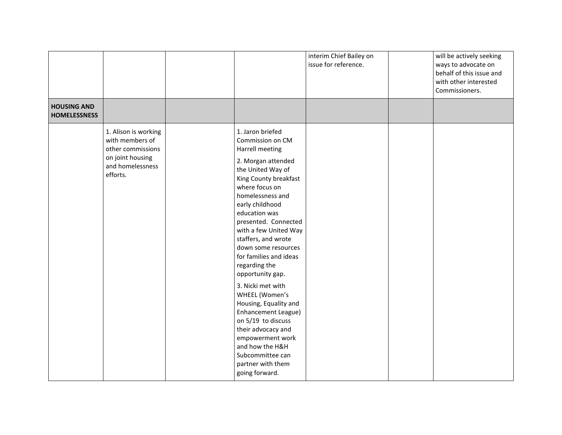|                                           |                                                                                                                  |                                                                                                                                                                                                                                                                                                                                                                                                                                                                                                                                                                                                                 | interim Chief Bailey on<br>issue for reference. | will be actively seeking<br>ways to advocate on<br>behalf of this issue and<br>with other interested<br>Commissioners. |
|-------------------------------------------|------------------------------------------------------------------------------------------------------------------|-----------------------------------------------------------------------------------------------------------------------------------------------------------------------------------------------------------------------------------------------------------------------------------------------------------------------------------------------------------------------------------------------------------------------------------------------------------------------------------------------------------------------------------------------------------------------------------------------------------------|-------------------------------------------------|------------------------------------------------------------------------------------------------------------------------|
| <b>HOUSING AND</b><br><b>HOMELESSNESS</b> |                                                                                                                  |                                                                                                                                                                                                                                                                                                                                                                                                                                                                                                                                                                                                                 |                                                 |                                                                                                                        |
|                                           | 1. Alison is working<br>with members of<br>other commissions<br>on joint housing<br>and homelessness<br>efforts. | 1. Jaron briefed<br>Commission on CM<br>Harrell meeting<br>2. Morgan attended<br>the United Way of<br>King County breakfast<br>where focus on<br>homelessness and<br>early childhood<br>education was<br>presented. Connected<br>with a few United Way<br>staffers, and wrote<br>down some resources<br>for families and ideas<br>regarding the<br>opportunity gap.<br>3. Nicki met with<br>WHEEL (Women's<br>Housing, Equality and<br><b>Enhancement League)</b><br>on 5/19 to discuss<br>their advocacy and<br>empowerment work<br>and how the H&H<br>Subcommittee can<br>partner with them<br>going forward. |                                                 |                                                                                                                        |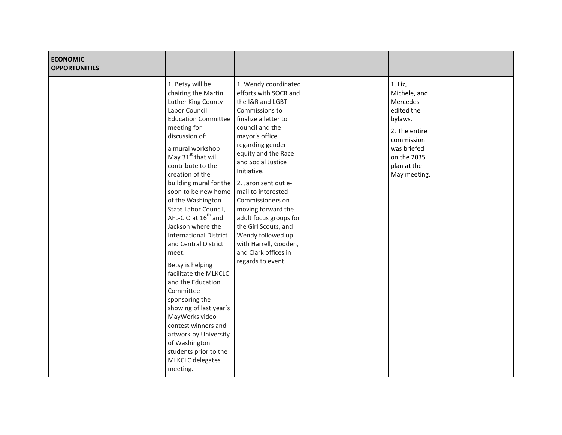| <b>ECONOMIC</b><br><b>OPPORTUNITIES</b> |                                                                                                                                                                                                                                                                                                                                                                                                                                                                                                                                                                                                                                                                                                                                                                         |                                                                                                                                                                                                                                                                                                                                                                                                                                               |                                                                                                                                                          |  |
|-----------------------------------------|-------------------------------------------------------------------------------------------------------------------------------------------------------------------------------------------------------------------------------------------------------------------------------------------------------------------------------------------------------------------------------------------------------------------------------------------------------------------------------------------------------------------------------------------------------------------------------------------------------------------------------------------------------------------------------------------------------------------------------------------------------------------------|-----------------------------------------------------------------------------------------------------------------------------------------------------------------------------------------------------------------------------------------------------------------------------------------------------------------------------------------------------------------------------------------------------------------------------------------------|----------------------------------------------------------------------------------------------------------------------------------------------------------|--|
|                                         | 1. Betsy will be<br>chairing the Martin<br>Luther King County<br>Labor Council<br><b>Education Committee</b><br>meeting for<br>discussion of:<br>a mural workshop<br>May 31 <sup>st</sup> that will<br>contribute to the<br>creation of the<br>building mural for the $\vert$ 2. Jaron sent out e-<br>soon to be new home<br>of the Washington<br>State Labor Council,<br>AFL-CIO at 16 <sup>th</sup> and<br>Jackson where the<br><b>International District</b><br>and Central District<br>meet.<br>Betsy is helping<br>facilitate the MLKCLC<br>and the Education<br>Committee<br>sponsoring the<br>showing of last year's<br>MayWorks video<br>contest winners and<br>artwork by University<br>of Washington<br>students prior to the<br>MLKCLC delegates<br>meeting. | 1. Wendy coordinated<br>efforts with SOCR and<br>the I&R and LGBT<br>Commissions to<br>finalize a letter to<br>council and the<br>mayor's office<br>regarding gender<br>equity and the Race<br>and Social Justice<br>Initiative.<br>mail to interested<br>Commissioners on<br>moving forward the<br>adult focus groups for<br>the Girl Scouts, and<br>Wendy followed up<br>with Harrell, Godden,<br>and Clark offices in<br>regards to event. | 1. Liz,<br>Michele, and<br>Mercedes<br>edited the<br>bylaws.<br>2. The entire<br>commission<br>was briefed<br>on the 2035<br>plan at the<br>May meeting. |  |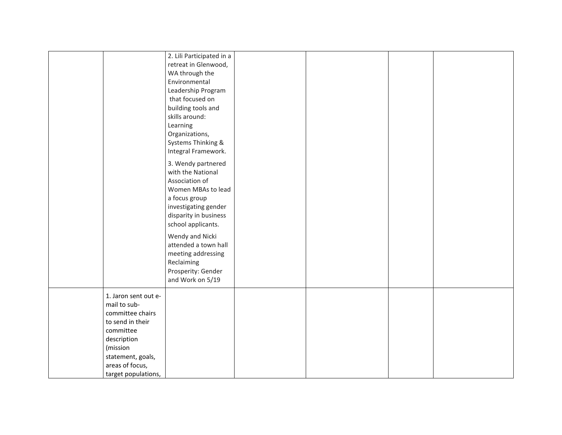|                      | 2. Lili Participated in a<br>retreat in Glenwood, |  |  |
|----------------------|---------------------------------------------------|--|--|
|                      | WA through the                                    |  |  |
|                      | Environmental                                     |  |  |
|                      | Leadership Program                                |  |  |
|                      | that focused on                                   |  |  |
|                      | building tools and                                |  |  |
|                      | skills around:                                    |  |  |
|                      | Learning                                          |  |  |
|                      | Organizations,                                    |  |  |
|                      | Systems Thinking &                                |  |  |
|                      | Integral Framework.                               |  |  |
|                      |                                                   |  |  |
|                      | 3. Wendy partnered                                |  |  |
|                      | with the National                                 |  |  |
|                      | Association of                                    |  |  |
|                      | Women MBAs to lead                                |  |  |
|                      | a focus group                                     |  |  |
|                      | investigating gender                              |  |  |
|                      | disparity in business                             |  |  |
|                      | school applicants.                                |  |  |
|                      | Wendy and Nicki                                   |  |  |
|                      | attended a town hall                              |  |  |
|                      | meeting addressing                                |  |  |
|                      | Reclaiming                                        |  |  |
|                      | Prosperity: Gender                                |  |  |
|                      | and Work on 5/19                                  |  |  |
| 1. Jaron sent out e- |                                                   |  |  |
| mail to sub-         |                                                   |  |  |
| committee chairs     |                                                   |  |  |
| to send in their     |                                                   |  |  |
| committee            |                                                   |  |  |
| description          |                                                   |  |  |
| (mission             |                                                   |  |  |
| statement, goals,    |                                                   |  |  |
| areas of focus,      |                                                   |  |  |
| target populations,  |                                                   |  |  |